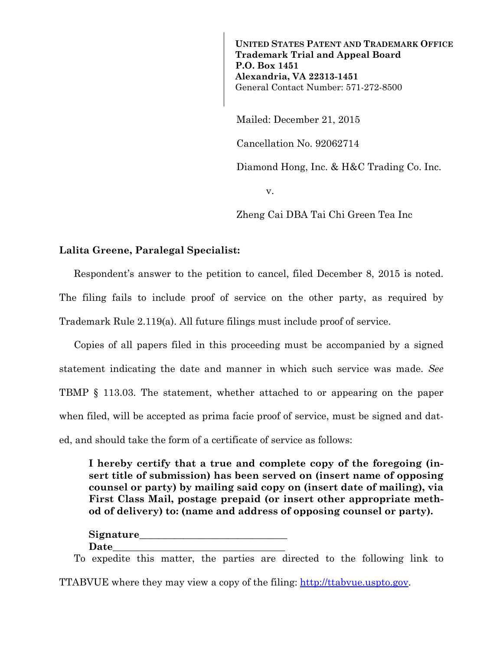**UNITED STATES PATENT AND TRADEMARK OFFICE Trademark Trial and Appeal Board P.O. Box 1451 Alexandria, VA 22313-1451**  General Contact Number: 571-272-8500

Mailed: December 21, 2015

Cancellation No. 92062714

Diamond Hong, Inc. & H&C Trading Co. Inc.

v.

Zheng Cai DBA Tai Chi Green Tea Inc

## **Lalita Greene, Paralegal Specialist:**

Respondent's answer to the petition to cancel, filed December 8, 2015 is noted. The filing fails to include proof of service on the other party, as required by Trademark Rule 2.119(a). All future filings must include proof of service.

Copies of all papers filed in this proceeding must be accompanied by a signed statement indicating the date and manner in which such service was made. *See* TBMP § 113.03. The statement, whether attached to or appearing on the paper when filed, will be accepted as prima facie proof of service, must be signed and dated, and should take the form of a certificate of service as follows:

**I hereby certify that a true and complete copy of the foregoing (insert title of submission) has been served on (insert name of opposing counsel or party) by mailing said copy on (insert date of mailing), via First Class Mail, postage prepaid (or insert other appropriate method of delivery) to: (name and address of opposing counsel or party).** 

| Signature |  |
|-----------|--|
| Date      |  |

To expedite this matter, the parties are directed to the following link to

TTABVUE where they may view a copy of the filing: http://ttabvue.uspto.gov.